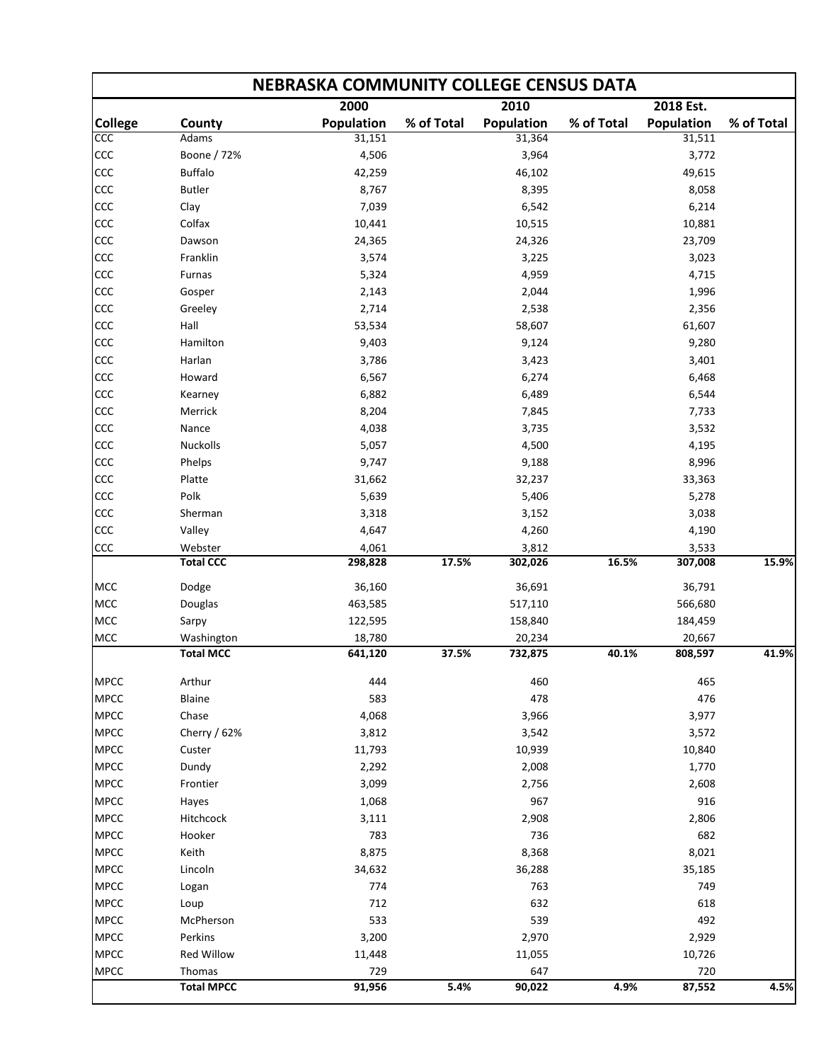| <b>NEBRASKA COMMUNITY COLLEGE CENSUS DATA</b> |                  |            |            |            |            |                   |            |  |  |  |  |
|-----------------------------------------------|------------------|------------|------------|------------|------------|-------------------|------------|--|--|--|--|
|                                               |                  | 2000       |            | 2010       |            | 2018 Est.         |            |  |  |  |  |
| <b>College</b>                                | County           | Population | % of Total | Population | % of Total | <b>Population</b> | % of Total |  |  |  |  |
| CCC                                           | Adams            | 31,151     |            | 31,364     |            | 31,511            |            |  |  |  |  |
| CCC                                           | Boone / 72%      | 4,506      |            | 3,964      |            | 3,772             |            |  |  |  |  |
| CCC                                           | <b>Buffalo</b>   | 42,259     |            | 46,102     |            | 49,615            |            |  |  |  |  |
| CCC                                           | <b>Butler</b>    | 8,767      |            | 8,395      |            | 8,058             |            |  |  |  |  |
| CCC                                           | Clay             | 7,039      |            | 6,542      |            | 6,214             |            |  |  |  |  |
| CCC                                           | Colfax           | 10,441     |            | 10,515     |            | 10,881            |            |  |  |  |  |
| CCC                                           | Dawson           | 24,365     |            | 24,326     |            | 23,709            |            |  |  |  |  |
| CCC                                           | Franklin         | 3,574      |            | 3,225      |            | 3,023             |            |  |  |  |  |
| CCC                                           | Furnas           | 5,324      |            | 4,959      |            | 4,715             |            |  |  |  |  |
| CCC                                           | Gosper           | 2,143      |            | 2,044      |            | 1,996             |            |  |  |  |  |
| CCC                                           | Greeley          | 2,714      |            | 2,538      |            | 2,356             |            |  |  |  |  |
| CCC                                           | Hall             | 53,534     |            | 58,607     |            | 61,607            |            |  |  |  |  |
| CCC                                           | Hamilton         | 9,403      |            | 9,124      |            | 9,280             |            |  |  |  |  |
| CCC                                           | Harlan           | 3,786      |            | 3,423      |            | 3,401             |            |  |  |  |  |
| CCC                                           | Howard           | 6,567      |            | 6,274      |            | 6,468             |            |  |  |  |  |
| CCC                                           | Kearney          | 6,882      |            | 6,489      |            | 6,544             |            |  |  |  |  |
| CCC                                           | Merrick          | 8,204      |            | 7,845      |            | 7,733             |            |  |  |  |  |
| CCC                                           | Nance            | 4,038      |            | 3,735      |            | 3,532             |            |  |  |  |  |
| CCC                                           | <b>Nuckolls</b>  | 5,057      |            | 4,500      |            | 4,195             |            |  |  |  |  |
| CCC                                           | Phelps           | 9,747      |            | 9,188      |            | 8,996             |            |  |  |  |  |
| CCC                                           | Platte           | 31,662     |            | 32,237     |            | 33,363            |            |  |  |  |  |
| CCC                                           | Polk             | 5,639      |            | 5,406      |            | 5,278             |            |  |  |  |  |
| CCC                                           | Sherman          | 3,318      |            | 3,152      |            | 3,038             |            |  |  |  |  |
| CCC                                           | Valley           | 4,647      |            | 4,260      |            | 4,190             |            |  |  |  |  |
| CCC                                           | Webster          | 4,061      |            | 3,812      |            | 3,533             |            |  |  |  |  |
|                                               | <b>Total CCC</b> | 298,828    | 17.5%      | 302,026    | 16.5%      | 307,008           | 15.9%      |  |  |  |  |
| MCC                                           | Dodge            | 36,160     |            | 36,691     |            | 36,791            |            |  |  |  |  |
| MCC                                           | Douglas          | 463,585    |            | 517,110    |            | 566,680           |            |  |  |  |  |
| MCC                                           | Sarpy            | 122,595    |            | 158,840    |            | 184,459           |            |  |  |  |  |
| MCC                                           | Washington       | 18,780     |            | 20,234     |            | 20,667            |            |  |  |  |  |
|                                               | <b>Total MCC</b> | 641,120    | 37.5%      | 732,875    | 40.1%      | 808,597           | 41.9%      |  |  |  |  |
| <b>MPCC</b>                                   | Arthur           | 444        |            | 460        |            | 465               |            |  |  |  |  |
| <b>MPCC</b>                                   | Blaine           | 583        |            | 478        |            | 476               |            |  |  |  |  |
| <b>MPCC</b>                                   | Chase            | 4,068      |            | 3,966      |            | 3,977             |            |  |  |  |  |
| <b>MPCC</b>                                   | Cherry / 62%     | 3,812      |            | 3,542      |            | 3,572             |            |  |  |  |  |
| <b>MPCC</b>                                   | Custer           | 11,793     |            | 10,939     |            | 10,840            |            |  |  |  |  |
| <b>MPCC</b>                                   | Dundy            | 2,292      |            | 2,008      |            | 1,770             |            |  |  |  |  |
| <b>MPCC</b>                                   | Frontier         | 3,099      |            | 2,756      |            | 2,608             |            |  |  |  |  |
| <b>MPCC</b>                                   | Hayes            | 1,068      |            | 967        |            | 916               |            |  |  |  |  |
| <b>MPCC</b>                                   | Hitchcock        | 3,111      |            | 2,908      |            | 2,806             |            |  |  |  |  |
| <b>MPCC</b>                                   | Hooker           | 783        |            | 736        |            | 682               |            |  |  |  |  |
| <b>MPCC</b>                                   | Keith            | 8,875      |            | 8,368      |            | 8,021             |            |  |  |  |  |
| <b>MPCC</b>                                   | Lincoln          | 34,632     |            | 36,288     |            | 35,185            |            |  |  |  |  |
| <b>MPCC</b>                                   | Logan            | 774        |            | 763        |            | 749               |            |  |  |  |  |
| <b>MPCC</b>                                   | Loup             | 712        |            | 632        |            | 618               |            |  |  |  |  |
| <b>MPCC</b>                                   | McPherson        | 533        |            | 539        |            | 492               |            |  |  |  |  |
| <b>MPCC</b>                                   | Perkins          | 3,200      |            | 2,970      |            | 2,929             |            |  |  |  |  |
| <b>MPCC</b>                                   | Red Willow       | 11,448     |            | 11,055     |            | 10,726            |            |  |  |  |  |
|                                               |                  |            |            |            |            |                   |            |  |  |  |  |
| <b>MPCC</b>                                   | Thomas           | 729        |            | 647        |            | 720               |            |  |  |  |  |